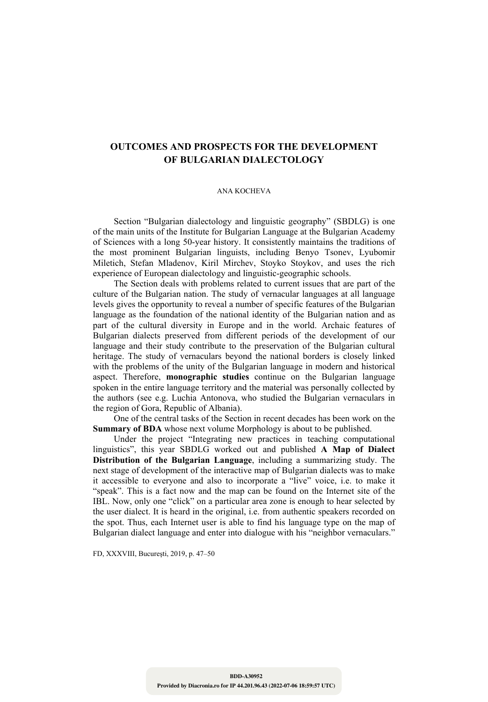## **OUTCOMES AND PROSPECTS FOR THE DEVELOPMENT OF BULGARIAN DIALECTOLOGY**

## ANA KOCHEVA

Section "Bulgarian dialectology and linguistic geography" (SBDLG) is one of the main units of the Institute for Bulgarian Language at the Bulgarian Academy of Sciences with a long 50-year history. It consistently maintains the traditions of the most prominent Bulgarian linguists, including Benyo Tsonev, Lyubomir Miletich, Stefan Mladenov, Kiril Mirchev, Stoyko Stoykov, and uses the rich experience of European dialectology and linguistic-geographic schools.

The Section deals with problems related to current issues that are part of the culture of the Bulgarian nation. The study of vernacular languages at all language levels gives the opportunity to reveal a number of specific features of the Bulgarian language as the foundation of the national identity of the Bulgarian nation and as part of the cultural diversity in Europe and in the world. Archaic features of Bulgarian dialects preserved from different periods of the development of our language and their study contribute to the preservation of the Bulgarian cultural heritage. The study of vernaculars beyond the national borders is closely linked with the problems of the unity of the Bulgarian language in modern and historical aspect. Therefore, **monographic studies** continue on the Bulgarian language spoken in the entire language territory and the material was personally collected by the authors (see e.g. Luchia Antonova, who studied the Bulgarian vernaculars in the region of Gora, Republic of Albania).

One of the central tasks of the Section in recent decades has been work on the **Summary of BDA** whose next volume Morphology is about to be published.

Under the project "Integrating new practices in teaching computational linguistics", this year SBDLG worked out and published **A Map of Dialect Distribution of the Bulgarian Language**, including a summarizing study. The next stage of development of the interactive map of Bulgarian dialects was to make it accessible to everyone and also to incorporate a "live" voice, i.e. to make it "speak". This is a fact now and the map can be found on the Internet site of the IBL. Now, only one "click" on a particular area zone is enough to hear selected by the user dialect. It is heard in the original, i.e. from authentic speakers recorded on the spot. Thus, each Internet user is able to find his language type on the map of Bulgarian dialect language and enter into dialogue with his "neighbor vernaculars."

FD, XXXVIII, Bucureşti, 2019, p. 47–50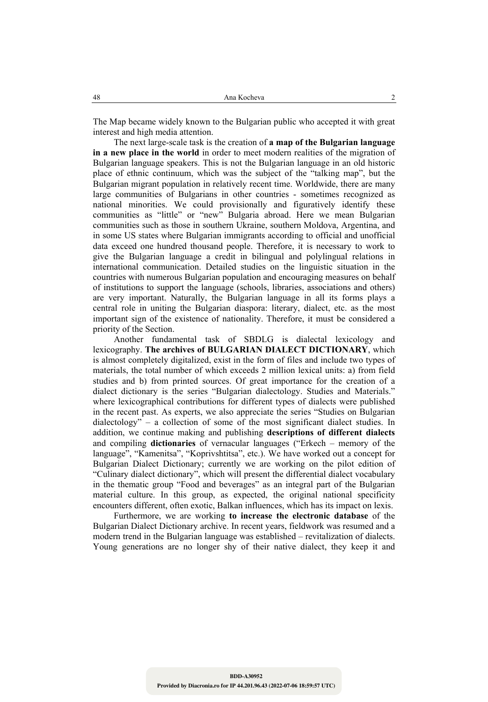The Map became widely known to the Bulgarian public who accepted it with great interest and high media attention.

The next large-scale task is the creation of **a map of the Bulgarian language in a new place in the world** in order to meet modern realities of the migration of Bulgarian language speakers. This is not the Bulgarian language in an old historic place of ethnic continuum, which was the subject of the "talking map", but the Bulgarian migrant population in relatively recent time. Worldwide, there are many large communities of Bulgarians in other countries - sometimes recognized as national minorities. We could provisionally and figuratively identify these communities as "little" or "new" Bulgaria abroad. Here we mean Bulgarian communities such as those in southern Ukraine, southern Moldova, Argentina, and in some US states where Bulgarian immigrants according to official and unofficial data exceed one hundred thousand people. Therefore, it is necessary to work to give the Bulgarian language a credit in bilingual and polylingual relations in international communication. Detailed studies on the linguistic situation in the countries with numerous Bulgarian population and encouraging measures on behalf of institutions to support the language (schools, libraries, associations and others) are very important. Naturally, the Bulgarian language in all its forms plays a central role in uniting the Bulgarian diaspora: literary, dialect, etc. as the most important sign of the existence of nationality. Therefore, it must be considered a priority of the Section.

Another fundamental task of SBDLG is dialectal lexicology and lexicography. **The archives of BULGARIAN DIALECT DICTIONARY**, which is almost completely digitalized, exist in the form of files and include two types of materials, the total number of which exceeds 2 million lexical units: a) from field studies and b) from printed sources. Of great importance for the creation of a dialect dictionary is the series "Bulgarian dialectology. Studies and Materials." where lexicographical contributions for different types of dialects were published in the recent past. As experts, we also appreciate the series "Studies on Bulgarian dialectology" – a collection of some of the most significant dialect studies. In addition, we continue making and publishing **descriptions of different dialects** and compiling **dictionaries** of vernacular languages ("Erkech – memory of the language", "Kamenitsa", "Koprivshtitsa", etc.). We have worked out a concept for Bulgarian Dialect Dictionary; currently we are working on the pilot edition of "Culinary dialect dictionary", which will present the differential dialect vocabulary in the thematic group "Food and beverages" as an integral part of the Bulgarian material culture. In this group, as expected, the original national specificity encounters different, often exotic, Balkan influences, which has its impact on lexis.

Furthermore, we are working **to increase the electronic database** of the Bulgarian Dialect Dictionary archive. In recent years, fieldwork was resumed and a modern trend in the Bulgarian language was established – revitalization of dialects. Young generations are no longer shy of their native dialect, they keep it and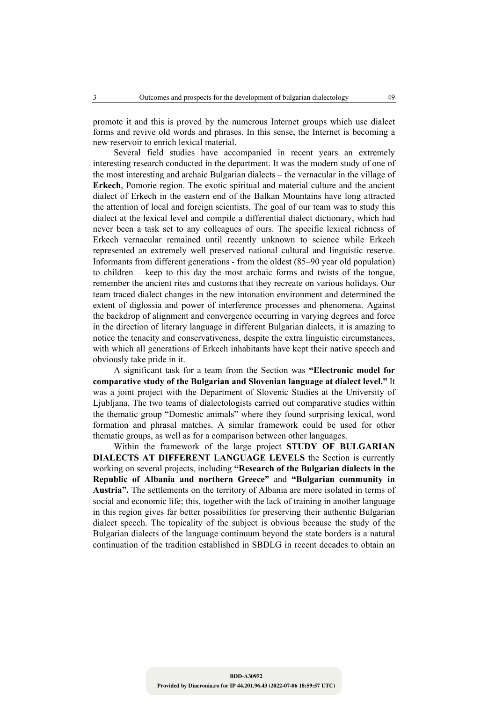promote it and this is proved by the numerous Internet groups which use dialect forms and revive old words and phrases. In this sense, the Internet is becoming a new reservoir to enrich lexical material.

Several field studies have accompanied in recent years an extremely interesting research conducted in the department. It was the modern study of one of the most interesting and archaic Bulgarian dialects – the vernacular in the village of **Erkech**, Pomorie region. The exotic spiritual and material culture and the ancient dialect of Erkech in the eastern end of the Balkan Mountains have long attracted the attention of local and foreign scientists. The goal of our team was to study this dialect at the lexical level and compile a differential dialect dictionary, which had never been a task set to any colleagues of ours. The specific lexical richness of Erkech vernacular remained until recently unknown to science while Erkech represented an extremely well preserved national cultural and linguistic reserve. Informants from different generations - from the oldest (85–90 year old population) to children – keep to this day the most archaic forms and twists of the tongue, remember the ancient rites and customs that they recreate on various holidays. Our team traced dialect changes in the new intonation environment and determined the extent of diglossia and power of interference processes and phenomena. Against the backdrop of alignment and convergence occurring in varying degrees and force in the direction of literary language in different Bulgarian dialects, it is amazing to notice the tenacity and conservativeness, despite the extra linguistic circumstances, with which all generations of Erkech inhabitants have kept their native speech and obviously take pride in it.

A significant task for a team from the Section was **"Electronic model for comparative study of the Bulgarian and Slovenian language at dialect level."** It was a joint project with the Department of Slovenic Studies at the University of Ljubljana. The two teams of dialectologists carried out comparative studies within the thematic group "Domestic animals" where they found surprising lexical, word formation and phrasal matches. A similar framework could be used for other thematic groups, as well as for a comparison between other languages.

Within the framework of the large project **STUDY OF BULGARIAN DIALECTS AT DIFFERENT LANGUAGE LEVELS** the Section is currently working on several projects, including **"Research of the Bulgarian dialects in the Republic of Albania and northern Greece"** and **"Bulgarian community in Austria".** The settlements on the territory of Albania are more isolated in terms of social and economic life; this, together with the lack of training in another language in this region gives far better possibilities for preserving their authentic Bulgarian dialect speech. The topicality of the subject is obvious because the study of the Bulgarian dialects of the language continuum beyond the state borders is a natural continuation of the tradition established in SBDLG in recent decades to obtain an